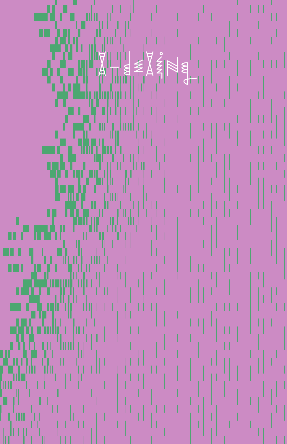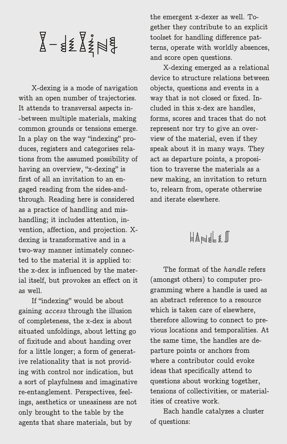$X-\xi \xi X^2 + \xi$ 

X-dexing is a mode of navigation with an open number of trajectories. It attends to transversal aspects in- -between multiple materials, making common grounds or tensions emerge. In a play on the way "indexing" produces, registers and categorises relations from the assumed possibility of having an overview, "x-dexing" is first of all an invitation to an engaged reading from the sides-andthrough. Reading here is considered as a practice of handling and mishandling; it includes attention, invention, affection, and projection. Xdexing is transformative and in a two-way manner intimately connected to the material it is applied to: the x-dex is influenced by the material itself, but provokes an effect on it as well.

If "indexing" would be about gaining *access* through the illusion of completeness, the x-dex is about situated unfoldings, about letting go of fixitude and about handing over for a little longer; a form of generative relationality that is not providing with control nor indication, but a sort of playfulness and imaginative re-entanglement. Perspectives, feelings, aesthetics or uneasiness are not only brought to the table by the agents that share materials, but by

the emergent x-dexer as well. Together they contribute to an explicit toolset for handling difference patterns, operate with worldly absences, and score open questions.

X-dexing emerged as a relational device to structure relations between objects, questions and events in a way that is not closed or fixed. Included in this x-dex are handles, forms, scores and traces that do not represent nor try to give an overview of the material, even if they speak about it in many ways. They act as departure points, a proposition to traverse the materials as a new making, an invitation to return to, relearn from, operate otherwise and iterate elsewhere.

### $H$ ANDLES

The format of the *handle* refers (amongst others) to computer programming where a handle is used as an abstract reference to a resource which is taken care of elsewhere. therefore allowing to connect to previous locations and temporalities. At the same time, the handles are departure points or anchors from where a contributor could evoke ideas that specifically attend to questions about working together, tensions of collectivities, or materialities of creative work.

Each handle catalyzes a cluster of questions: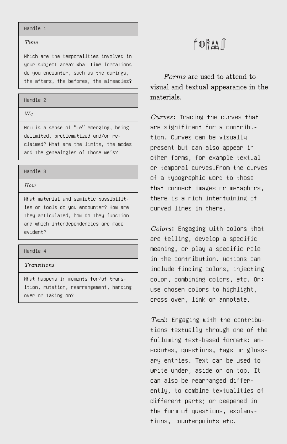#### Handle 1

#### *Time*

Which are the temporalities involved in your subject area? What time formations do you encounter, such as the durings, the afters, the befores, the alreadies?

### Handle 2

*We*

How is a sense of "we" emerging, being delimited, problematized and/or reclaimed? What are the limits, the modes and the genealogies of those we's?

#### Handle 3

*How*

What material and semiotic possibilities or tools do you encounter? How are they articulated, how do they function and which interdependencies are made evident?

#### Handle 4

*Transitions*

What happens in moments for/of transition, mutation, rearrangement, handing over or taking on?

### FORAM

*Forms* are used to attend to visual and textual appearance in the materials.

*Curves*: Tracing the curves that are significant for a contribution. Curves can be visually present but can also appear in other forms, for example textual or temporal curves.From the curves of a typographic word to those that connect images or metaphors, there is a rich intertwining of curved lines in there.

*Colors*: Engaging with colors that are telling, develop a specific meaning, or play a specific role in the contribution. Actions can include finding colors, injecting color, combining colors, etc. Or: use chosen colors to highlight, cross over, link or annotate.

*Text*: Engaging with the contributions textually through one of the following text-based formats: anecdotes, questions, tags or glossary entries. Text can be used to write under, aside or on top. It can also be rearranged differently, to combine textualities of different parts; or deepened in the form of questions, explanations, counterpoints etc.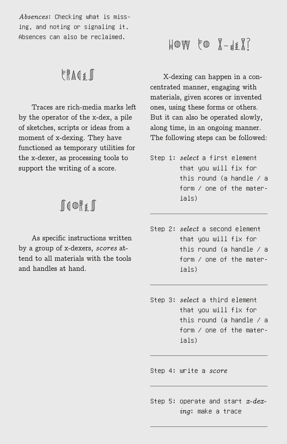*Absences*: Checking what is missing, and noting or signaling it. Absences can also be reclaimed.

### $FRAE$

Traces are rich-media marks left by the operator of the x-dex, a pile of sketches, scripts or ideas from a moment of x-dexing. They have functioned as temporary utilities for the x-dexer, as processing tools to support the writing of a score.

## $\mathbb{R}$  $\in$   $\mathbb{R}$  $\in$   $\mathbb{R}$

As specific instructions written by a group of x-dexers, *scores* attend to all materials with the tools and handles at hand.

# $H$   $W$   $\mathbb{F}$   $\mathbb{F}$   $\mathbb{F}$   $\mathbb{F}$   $\mathbb{F}$   $\mathbb{F}$   $\mathbb{F}$   $\mathbb{F}$   $\mathbb{F}$   $\mathbb{F}$   $\mathbb{F}$   $\mathbb{F}$   $\mathbb{F}$   $\mathbb{F}$   $\mathbb{F}$   $\mathbb{F}$   $\mathbb{F}$   $\mathbb{F}$   $\mathbb{F}$   $\mathbb{F}$   $\mathbb{F}$   $\mathbb{F}$   $\mathbb{F}$   $\mathbb{F$

X-dexing can happen in a concentrated manner, engaging with materials, given scores or invented ones, using these forms or others. But it can also be operated slowly, along time, in an ongoing manner. The following steps can be followed:

- Step 1: *select* a first element that you will fix for this round (a handle / a form / one of the materials)
- Step 2: *select* a second element that you will fix for this round (a handle / a form / one of the materials)
- Step 3: *select* a third element that you will fix for this round (a handle / a form / one of the materials)

Step 4: write a *score*

Step 5: operate and start *x-dexing*: make a trace